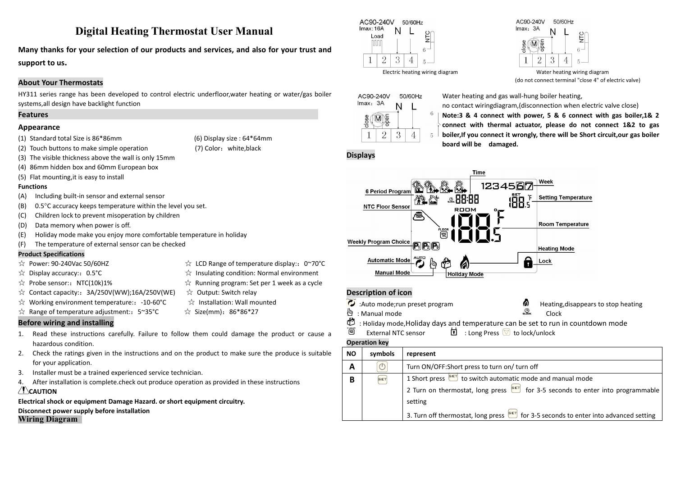# **Digital Heating Thermostat User Manual**

**Many thanks for your selection of our products and services, and also for your trust and support to us.**

## **About Your Thermostats**

HY311 series range has been developed to control electric underfloor, water heating or water/gas boiler  $ACg0-240V$ systems,all design have backlight function

## **Features**

## **Appearance**

- (1) Standard total Size is 86\*86mm (6) Display size : 64\*64mm (1)  $\begin{array}{|c|c|c|c|c|}\n1 & 2 & \end{array}$
- (2) Touch buttons to make simple operation (7) Color:white,black
- (3) The visible thickness above the wall is only 15mm
- (4) 86mm hidden boxand 60mm European box
- (5) Flat mounting,it is easy to install

#### **Functions**

- (A) Including built-in sensor and external sensor
- (B) 0.5°C accuracy keeps temperature within the level you set.
- (C) Children lock to prevent misoperation by children
- 
- (D) Data memory when power is off.<br>(E) Holiday mode make you enjoy more comfortable temperature in holiday
- (F) The temperature of external sensor can be checked

#### **Product Specifications**

- 
- $\hat{\mathbb{R}}$  Display accuracy:: 0.5°C  $\hat{\mathbb{R}}$  Insulating condition: Normal environment
- $\hat{\varphi}$  Probe sensor:: NTC(10k)1%  $\hat{\varphi}$  Running program: Set per 1 week as a cycle
- ☆ Contact capacity::3A/250V(WW);16A/250V(WE) ☆ Output: Switch relay
- $\hat{\mathcal{A}}$  Working environment temperature:: -10-60°C  $\hat{\mathcal{A}}$  Installation: Wall mounted
- $\hat{\mathcal{R}}$  Range of temperature adjustment:: 5~35°C  $\hat{\mathcal{R}}$  Size(mm): 86\*86\*27
- 
- 

## **Before wiring and installing**

- 1. Read these instructions carefully. Failure to follow them could damage the product or cause a  $\overline{\mathbb{B}}$  External NTC sensor hazardous condition.
- 2. Check the ratings given in the instructions and on the product to make sure the produce is suitable for your application.
- 
- 3. Installer must be a trained experienced service technician.<br>4. After installation is complete.check out produce operation as provided in these instructions **CAUTION**

**Electrical shock or equipment Damage Hazard. or short equipment circuitry.**

**Disconnect power supply before installation Wiring Diagram**



 $lmax: 3A$  $\frac{1}{2}$  $\overline{\mathsf{M}}$  $6 -$ 2 3  $\overline{\mathcal{A}}$ 

50/60Hz

Electric heating wiring diagram Water heating wiring diagram (do not connect terminal "close 4" of electric valve)



Water heating and gas wall-hung boiler heating,

AC90-240V

no contact wiringdiagram,(disconnection when electric valve close)

**Note:3 & 4 connect with power, 5 & 6 connect with gas boiler,1& 2 connect with thermal actuator, please do not connect 1&2 to gas boiler,If you connectit wrongly, there will be Short circuit,our gas boiler board will be damaged.**

**Displays**



## **Description of icon**

內

: Manual mode Clock

 $\dddot{\bullet}$  :Auto mode;run preset program  $\bullet$  Heating,disappears to stop heating  $\ddot{\bullet}$  . Manual mode

- ₾ : Holiday mode,Holiday days and temperature can be set to run in countdown mode
	- $\overline{\mathbf{E}}$  : Long Press  $\overline{\mathbf{E}}$  to lock/unlock

#### **Operation key**

| <b>NO</b> | symbols | represent                                                                                    |
|-----------|---------|----------------------------------------------------------------------------------------------|
| A         |         | Turn ON/OFF: Short press to turn on/ turn off                                                |
| B         | SET     | 1 Short press <b>BET</b> to switch automatic mode and manual mode                            |
|           |         | 2 Turn on thermostat, long press $\frac{f}{f}$ for 3-5 seconds to enter into programmable    |
|           |         | setting                                                                                      |
|           |         | 3. Turn off thermostat, long press <b>SET</b> for 3-5 seconds to enter into advanced setting |